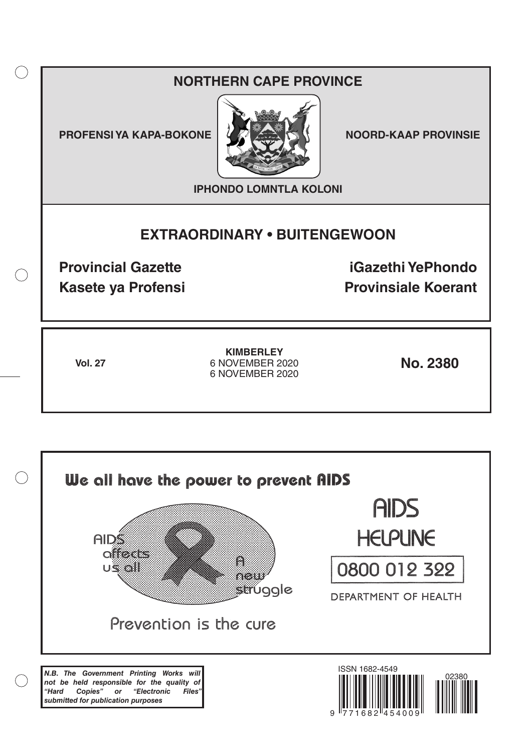## **NORTHERN CAPE PROVINCE**

**PROFENSI YA KAPA-BOKONE NOORD-KAAP PROVINSIE** 

 $($ )



**IPHONDO LOMNTLA KOLONI**

## **EXTRAORDINARY • BUITENGEWOON**

**Provincial Gazette iGazethi YePhondo Kasete ya Profensi Provinsiale Koerant** 

**Vol. 27 No. 2380** 6 NOVEMBER 2020 **KIMBERLEY** 6 NOVEMBER 2020

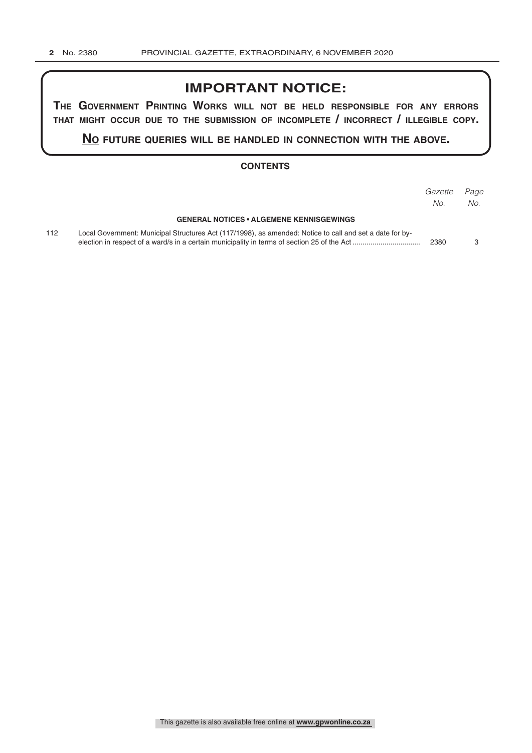## **IMPORTANT NOTICE:**

**The GovernmenT PrinTinG Works Will noT be held resPonsible for any errors ThaT miGhT occur due To The submission of incomPleTe / incorrecT / illeGible coPy.**

**no fuTure queries Will be handled in connecTion WiTh The above.**

#### **CONTENTS**

|     |                                                                                                          | Gazette<br>No. | Page<br>No. |
|-----|----------------------------------------------------------------------------------------------------------|----------------|-------------|
|     | <b>GENERAL NOTICES • ALGEMENE KENNISGEWINGS</b>                                                          |                |             |
| 112 | Local Government: Municipal Structures Act (117/1998), as amended: Notice to call and set a date for by- | 2380           |             |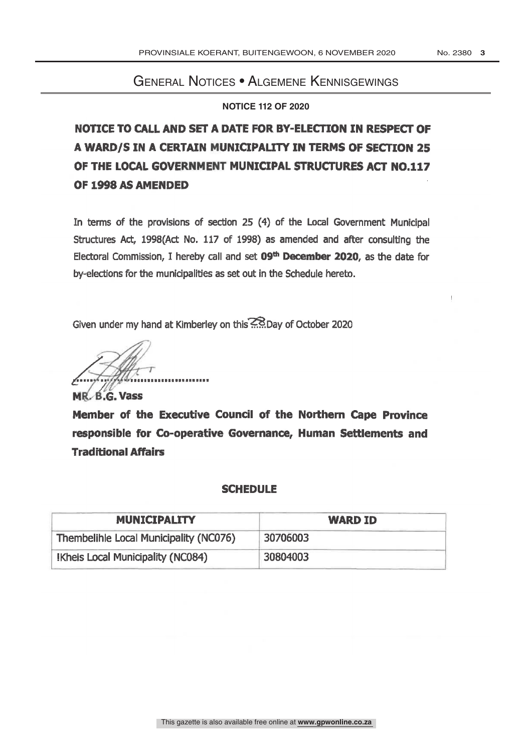### General Notices • Algemene Kennisgewings

### **NOTICE 112 OF 2020**

# M A WARD /S IN A CERTAIN UNICIPALITY IN TERMS OF SECTION 25 OF THE LOCAL GOVERNMENT MUNICIPAL STRUCTURES ACT NO.117 NOTICE TO CALL AND SET A DATE FOR BY-ELECTION IN RESPECT OF OF 1998 AS AMENDED

In terms of the provisions of section 25 (4) of the Local Government Municipal Structures Act, 1998(Act No. 117 of 1998) as amended and after consulting the Electoral Commission, I hereby call and set 09<sup>th</sup> December 2020, as the date for by- elections for the municipalities as set out in the Schedule hereto.

Given under my hand at Kimberley on this ... Day of October 2020

MR<sub>B</sub>.G. Vass Member of the Executive Council of the Northern Cape Province responsible for Co- operative Governance, Human Settlements and Traditional Affairs

### **SCHEDULE**

| <b>MUNICIPALITY</b>                    | <b>WARD ID</b> |
|----------------------------------------|----------------|
| Thembelihle Local Municipality (NC076) | 30706003       |
| IKheis Local Municipality (NC084)      | 30804003       |